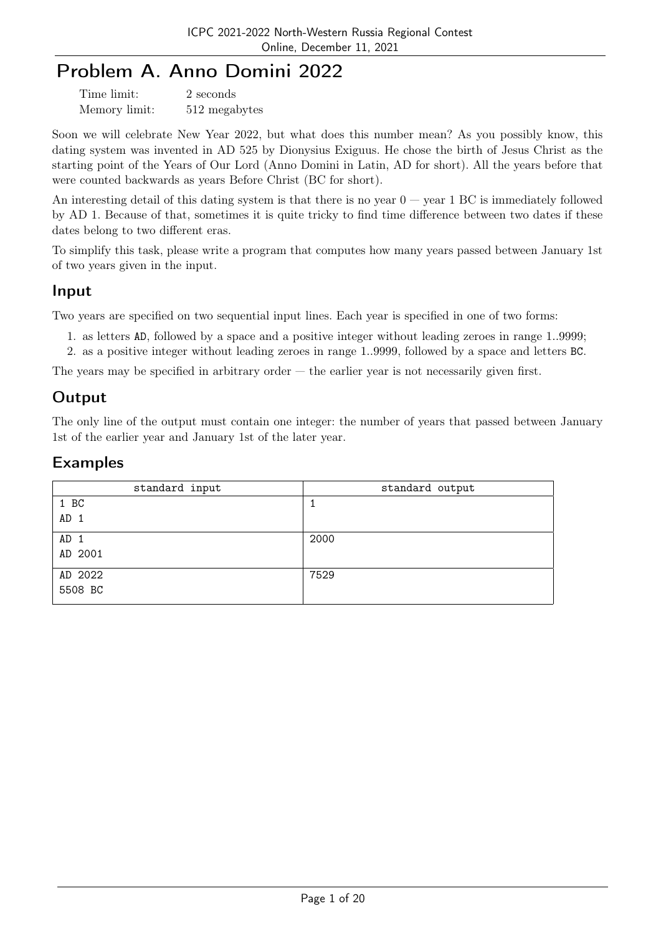# Problem A. Anno Domini 2022

| Time limit:   | 2 seconds     |
|---------------|---------------|
| Memory limit: | 512 megabytes |

Soon we will celebrate New Year 2022, but what does this number mean? As you possibly know, this dating system was invented in AD 525 by Dionysius Exiguus. He chose the birth of Jesus Christ as the starting point of the Years of Our Lord (Anno Domini in Latin, AD for short). All the years before that were counted backwards as years Before Christ (BC for short).

An interesting detail of this dating system is that there is no year  $0 - \text{year } 1 \text{ BC}$  is immediately followed by AD 1. Because of that, sometimes it is quite tricky to find time difference between two dates if these dates belong to two different eras.

To simplify this task, please write a program that computes how many years passed between January 1st of two years given in the input.

### Input

Two years are specified on two sequential input lines. Each year is specified in one of two forms:

- 1. as letters AD, followed by a space and a positive integer without leading zeroes in range 1..9999;
- 2. as a positive integer without leading zeroes in range 1..9999, followed by a space and letters BC.

The years may be specified in arbitrary order  $-$  the earlier year is not necessarily given first.

### Output

The only line of the output must contain one integer: the number of years that passed between January 1st of the earlier year and January 1st of the later year.

#### Examples

| standard input  | standard output |
|-----------------|-----------------|
| 1 BC            |                 |
| AD <sub>1</sub> |                 |
| AD <sub>1</sub> | 2000            |
| AD 2001         |                 |
| AD 2022         | 7529            |
| 5508 BC         |                 |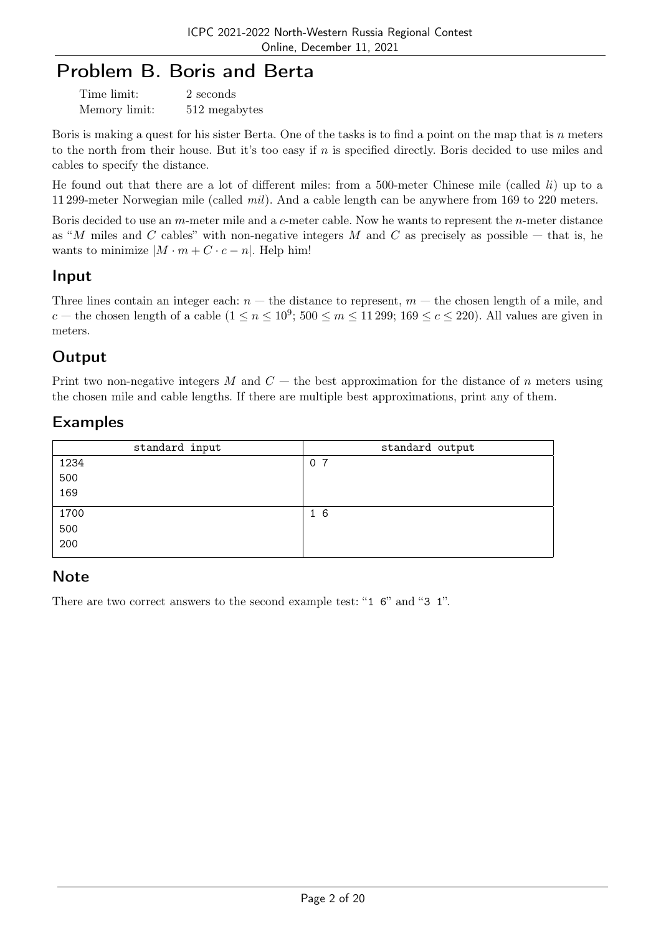## Problem B. Boris and Berta

| Time limit:   | 2 seconds     |
|---------------|---------------|
| Memory limit: | 512 megabytes |

Boris is making a quest for his sister Berta. One of the tasks is to find a point on the map that is n meters to the north from their house. But it's too easy if n is specified directly. Boris decided to use miles and cables to specify the distance.

He found out that there are a lot of different miles: from a 500-meter Chinese mile (called  $li$ ) up to a 11 299-meter Norwegian mile (called mil). And a cable length can be anywhere from 169 to 220 meters.

Boris decided to use an m-meter mile and a c-meter cable. Now he wants to represent the n-meter distance as "M miles and C cables" with non-negative integers M and C as precisely as possible  $-$  that is, he wants to minimize  $|M \cdot m + C \cdot c - n|$ . Help him!

#### Input

Three lines contain an integer each:  $n -$  the distance to represent,  $m -$  the chosen length of a mile, and c – the chosen length of a cable  $(1 \le n \le 10^9; 500 \le m \le 11299; 169 \le c \le 220)$ . All values are given in meters.

## **Output**

Print two non-negative integers M and  $C$  — the best approximation for the distance of n meters using the chosen mile and cable lengths. If there are multiple best approximations, print any of them.

### Examples

| standard input | standard output |
|----------------|-----------------|
| 1234           | 0 <sub>7</sub>  |
| 500            |                 |
| 169            |                 |
| 1700           | 16              |
| 500            |                 |
| 200            |                 |

## **Note**

There are two correct answers to the second example test: "1 6" and "3 1".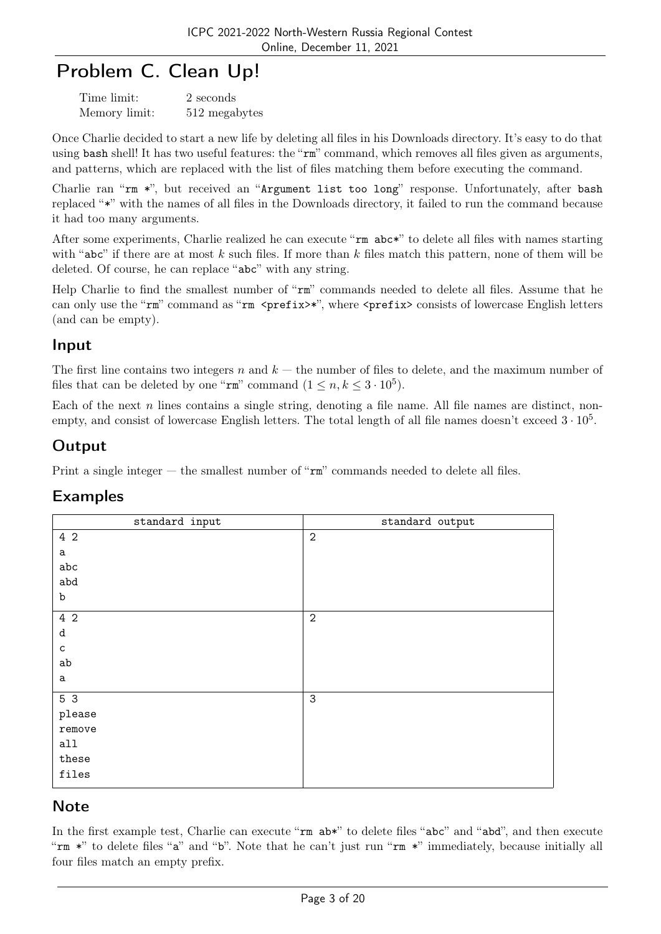# Problem C. Clean Up!

| Time limit:   | 2 seconds     |
|---------------|---------------|
| Memory limit: | 512 megabytes |

Once Charlie decided to start a new life by deleting all files in his Downloads directory. It's easy to do that using bash shell! It has two useful features: the "rm" command, which removes all files given as arguments, and patterns, which are replaced with the list of files matching them before executing the command.

Charlie ran "rm \*", but received an "Argument list too long" response. Unfortunately, after bash replaced "\*" with the names of all files in the Downloads directory, it failed to run the command because it had too many arguments.

After some experiments, Charlie realized he can execute "rm  $abc*$ " to delete all files with names starting with "abc" if there are at most  $k$  such files. If more than  $k$  files match this pattern, none of them will be deleted. Of course, he can replace "abc" with any string.

Help Charlie to find the smallest number of "rm" commands needed to delete all files. Assume that he can only use the "rm" command as "rm <prefix>\*", where <prefix> consists of lowercase English letters (and can be empty).

### Input

The first line contains two integers n and  $k$  — the number of files to delete, and the maximum number of files that can be deleted by one " $\mathbf{r}$ " command  $(1 \le n, k \le 3 \cdot 10^5)$ .

Each of the next  $n$  lines contains a single string, denoting a file name. All file names are distinct, nonempty, and consist of lowercase English letters. The total length of all file names doesn't exceed  $3 \cdot 10^5$ .

## **Output**

Print a single integer — the smallest number of "rm" commands needed to delete all files.

#### Examples

| standard input  | standard output |
|-----------------|-----------------|
| 4 2             | $\overline{2}$  |
| a               |                 |
| abc             |                 |
| $_{\rm abd}$    |                 |
| b               |                 |
| 4 2             | $\overline{2}$  |
| d               |                 |
| $\mathsf{C}$    |                 |
| ab              |                 |
| a               |                 |
| $5\overline{3}$ | $\mathbf{3}$    |
| please          |                 |
| remove          |                 |
| all             |                 |
| these           |                 |
| files           |                 |
|                 |                 |

#### **Note**

In the first example test, Charlie can execute " $rm \; ab*$ " to delete files "abc" and "abd", and then execute "rm \*" to delete files "a" and "b". Note that he can't just run "rm \*" immediately, because initially all four files match an empty prefix.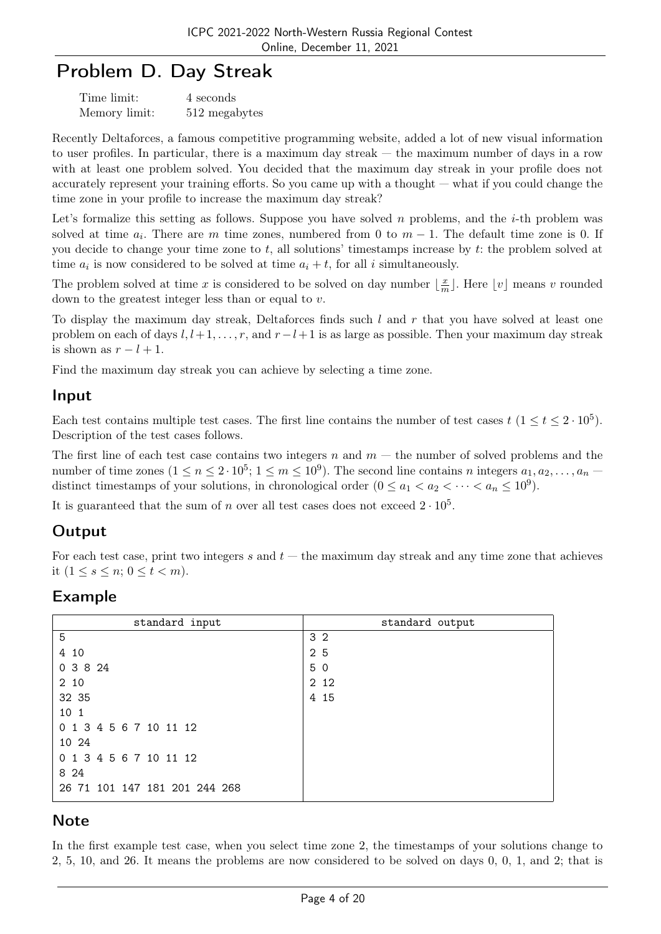## Problem D. Day Streak

| Time limit:   | 4 seconds     |
|---------------|---------------|
| Memory limit: | 512 megabytes |

Recently Deltaforces, a famous competitive programming website, added a lot of new visual information to user profiles. In particular, there is a maximum day streak — the maximum number of days in a row with at least one problem solved. You decided that the maximum day streak in your profile does not accurately represent your training efforts. So you came up with a thought — what if you could change the time zone in your profile to increase the maximum day streak?

Let's formalize this setting as follows. Suppose you have solved n problems, and the *i*-th problem was solved at time  $a_i$ . There are m time zones, numbered from 0 to  $m-1$ . The default time zone is 0. If you decide to change your time zone to  $t$ , all solutions' timestamps increase by  $t$ : the problem solved at time  $a_i$  is now considered to be solved at time  $a_i + t$ , for all i simultaneously.

The problem solved at time x is considered to be solved on day number  $\frac{x}{x}$  $\frac{x}{m}$ . Here  $\lfloor v \rfloor$  means v rounded down to the greatest integer less than or equal to v.

To display the maximum day streak, Deltaforces finds such  $l$  and  $r$  that you have solved at least one problem on each of days  $l, l+1, \ldots, r$ , and  $r-l+1$  is as large as possible. Then your maximum day streak is shown as  $r - l + 1$ .

Find the maximum day streak you can achieve by selecting a time zone.

### Input

Each test contains multiple test cases. The first line contains the number of test cases  $t$  ( $1 \le t \le 2 \cdot 10^5$ ). Description of the test cases follows.

The first line of each test case contains two integers  $n$  and  $m$  – the number of solved problems and the number of time zones  $(1 \le n \le 2 \cdot 10^5; 1 \le m \le 10^9)$ . The second line contains n integers  $a_1, a_2, \ldots, a_n$ distinct timestamps of your solutions, in chronological order  $(0 \le a_1 < a_2 < \cdots < a_n \le 10^9)$ .

It is guaranteed that the sum of n over all test cases does not exceed  $2 \cdot 10^5$ .

## **Output**

For each test case, print two integers s and  $t$  — the maximum day streak and any time zone that achieves it  $(1 \le s \le n; 0 \le t < m)$ .

#### Example

| standard input                | standard output |
|-------------------------------|-----------------|
| 5                             | 3 <sub>2</sub>  |
| 4 10                          | 2 5             |
| 0 3 8 24                      | 5 0             |
| 2 10                          | 2 1 2           |
| 32 35                         | 4 15            |
| 10 1                          |                 |
| 0 1 3 4 5 6 7 10 11 12        |                 |
| 10 24                         |                 |
| 0 1 3 4 5 6 7 10 11 12        |                 |
| 8 24                          |                 |
| 26 71 101 147 181 201 244 268 |                 |

#### **Note**

In the first example test case, when you select time zone 2, the timestamps of your solutions change to 2, 5, 10, and 26. It means the problems are now considered to be solved on days 0, 0, 1, and 2; that is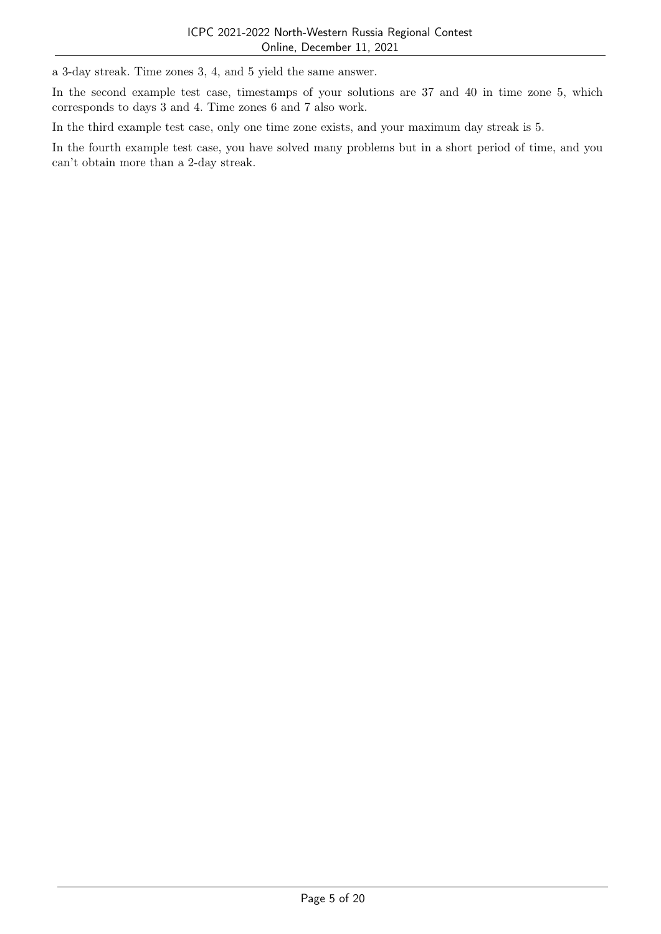a 3-day streak. Time zones 3, 4, and 5 yield the same answer.

In the second example test case, timestamps of your solutions are 37 and 40 in time zone 5, which corresponds to days 3 and 4. Time zones 6 and 7 also work.

In the third example test case, only one time zone exists, and your maximum day streak is 5.

In the fourth example test case, you have solved many problems but in a short period of time, and you can't obtain more than a 2-day streak.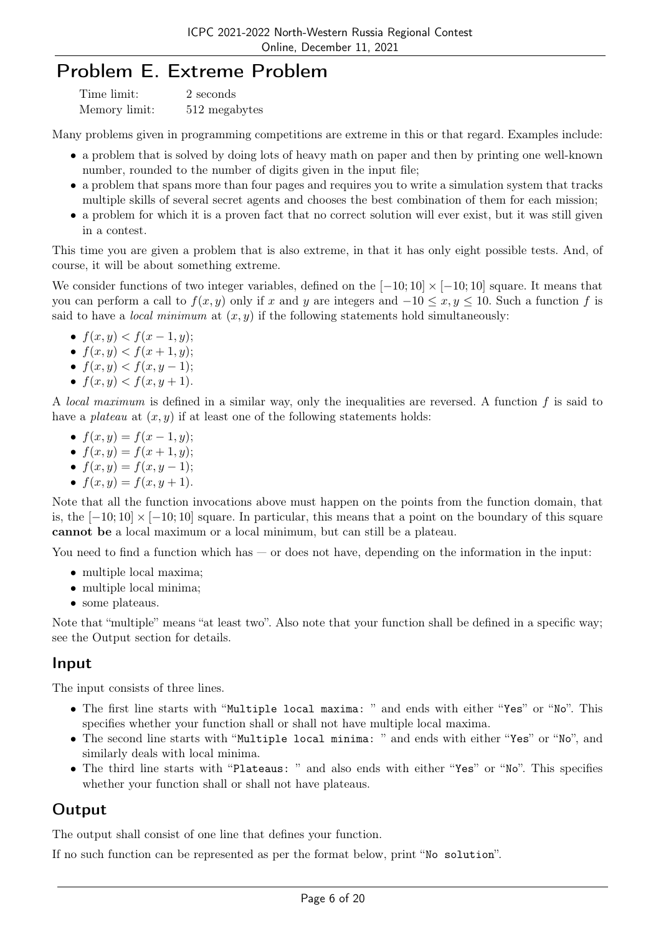## Problem E. Extreme Problem

| Time limit:   | 2 seconds     |
|---------------|---------------|
| Memory limit: | 512 megabytes |

Many problems given in programming competitions are extreme in this or that regard. Examples include:

- a problem that is solved by doing lots of heavy math on paper and then by printing one well-known number, rounded to the number of digits given in the input file;
- a problem that spans more than four pages and requires you to write a simulation system that tracks multiple skills of several secret agents and chooses the best combination of them for each mission;
- a problem for which it is a proven fact that no correct solution will ever exist, but it was still given in a contest.

This time you are given a problem that is also extreme, in that it has only eight possible tests. And, of course, it will be about something extreme.

We consider functions of two integer variables, defined on the  $[-10; 10] \times [-10; 10]$  square. It means that you can perform a call to  $f(x, y)$  only if x and y are integers and  $-10 \le x, y \le 10$ . Such a function f is said to have a *local minimum* at  $(x, y)$  if the following statements hold simultaneously:

- $f(x, y) < f(x 1, y);$
- $f(x, y) < f(x + 1, y);$
- $f(x, y) < f(x, y 1);$
- $f(x, y) < f(x, y + 1)$ .

A local maximum is defined in a similar way, only the inequalities are reversed. A function f is said to have a *plateau* at  $(x, y)$  if at least one of the following statements holds:

- $f(x, y) = f(x 1, y);$
- $f(x, y) = f(x + 1, y);$
- $f(x, y) = f(x, y 1);$
- $f(x, y) = f(x, y + 1)$ .

Note that all the function invocations above must happen on the points from the function domain, that is, the  $[-10; 10] \times [-10; 10]$  square. In particular, this means that a point on the boundary of this square cannot be a local maximum or a local minimum, but can still be a plateau.

You need to find a function which has — or does not have, depending on the information in the input:

- multiple local maxima;
- multiple local minima;
- some plateaus.

Note that "multiple" means "at least two". Also note that your function shall be defined in a specific way; see the Output section for details.

#### Input

The input consists of three lines.

- The first line starts with "Multiple local maxima: " and ends with either "Yes" or "No". This specifies whether your function shall or shall not have multiple local maxima.
- The second line starts with "Multiple local minima: " and ends with either "Yes" or "No", and similarly deals with local minima.
- The third line starts with "Plateaus: " and also ends with either "Yes" or "No". This specifies whether your function shall or shall not have plateaus.

#### **Output**

The output shall consist of one line that defines your function.

If no such function can be represented as per the format below, print "No solution".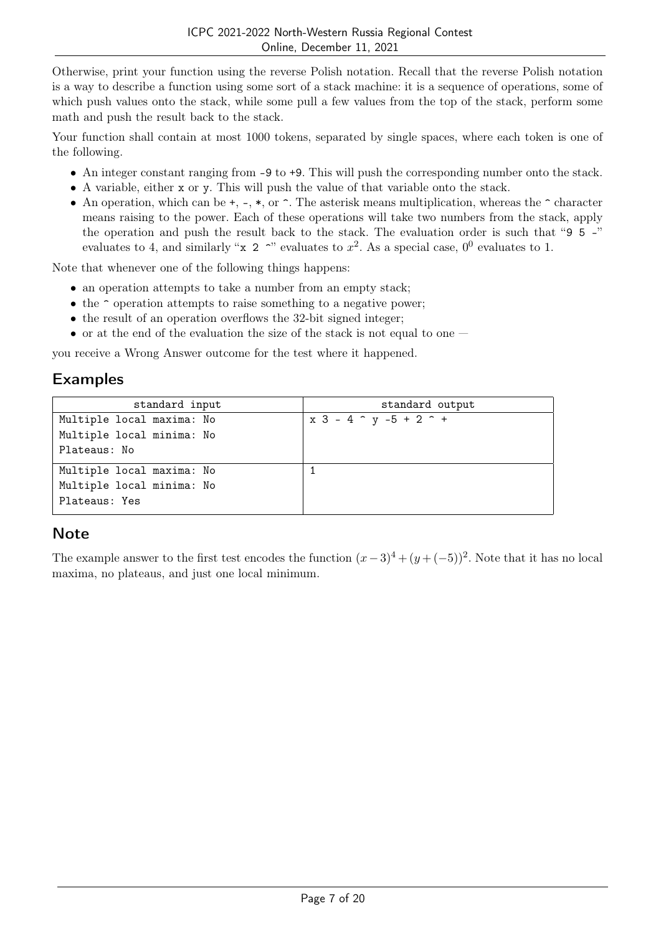Otherwise, print your function using the reverse Polish notation. Recall that the reverse Polish notation is a way to describe a function using some sort of a stack machine: it is a sequence of operations, some of which push values onto the stack, while some pull a few values from the top of the stack, perform some math and push the result back to the stack.

Your function shall contain at most 1000 tokens, separated by single spaces, where each token is one of the following.

- An integer constant ranging from -9 to +9. This will push the corresponding number onto the stack.
- A variable, either x or y. This will push the value of that variable onto the stack.
- An operation, which can be  $+$ ,  $-$ ,  $*$ , or  $\hat{ }$ . The asterisk means multiplication, whereas the  $\hat{ }$  character means raising to the power. Each of these operations will take two numbers from the stack, apply the operation and push the result back to the stack. The evaluation order is such that "9 5 -" evaluates to 4, and similarly "**x** 2 <sup>o</sup>" evaluates to  $x^2$ . As a special case,  $0^0$  evaluates to 1.

Note that whenever one of the following things happens:

- an operation attempts to take a number from an empty stack;
- $\bullet$  the  $\hat{\ }$  operation attempts to raise something to a negative power;
- the result of an operation overflows the 32-bit signed integer;
- or at the end of the evaluation the size of the stack is not equal to one  $-$

you receive a Wrong Answer outcome for the test where it happened.

### Examples

| standard input            | standard output                        |
|---------------------------|----------------------------------------|
| Multiple local maxima: No | $x$ 3 - 4 $\hat{y}$ -5 + 2 $\hat{y}$ + |
| Multiple local minima: No |                                        |
| Plateaus: No              |                                        |
| Multiple local maxima: No |                                        |
| Multiple local minima: No |                                        |
| Plateaus: Yes             |                                        |

## **Note**

The example answer to the first test encodes the function  $(x-3)^4 + (y+(-5))^2$ . Note that it has no local maxima, no plateaus, and just one local minimum.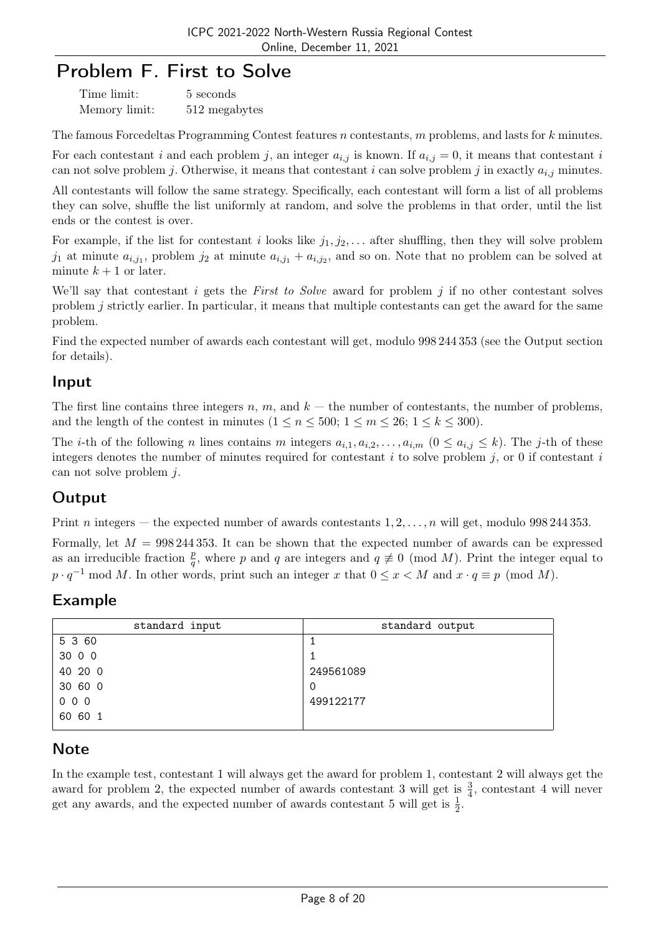## Problem F. First to Solve

| Time limit:   | 5 seconds     |
|---------------|---------------|
| Memory limit: | 512 megabytes |

The famous Forcedeltas Programming Contest features n contestants, m problems, and lasts for k minutes.

For each contestant i and each problem j, an integer  $a_{i,j}$  is known. If  $a_{i,j} = 0$ , it means that contestant i can not solve problem j. Otherwise, it means that contestant i can solve problem j in exactly  $a_{i,j}$  minutes.

All contestants will follow the same strategy. Specifically, each contestant will form a list of all problems they can solve, shuffle the list uniformly at random, and solve the problems in that order, until the list ends or the contest is over.

For example, if the list for contestant i looks like  $j_1, j_2, \ldots$  after shuffling, then they will solve problem  $j_1$  at minute  $a_{i,j_1}$ , problem  $j_2$  at minute  $a_{i,j_1} + a_{i,j_2}$ , and so on. Note that no problem can be solved at minute  $k + 1$  or later.

We'll say that contestant *i* gets the *First to Solve* award for problem *j* if no other contestant solves problem j strictly earlier. In particular, it means that multiple contestants can get the award for the same problem.

Find the expected number of awards each contestant will get, modulo 998 244 353 (see the Output section for details).

### Input

The first line contains three integers n, m, and  $k$  — the number of contestants, the number of problems, and the length of the contest in minutes  $(1 \le n \le 500; 1 \le m \le 26; 1 \le k \le 300)$ .

The *i*-th of the following *n* lines contains *m* integers  $a_{i,1}, a_{i,2}, \ldots, a_{i,m}$   $(0 \le a_{i,j} \le k)$ . The *j*-th of these integers denotes the number of minutes required for contestant  $i$  to solve problem  $j$ , or 0 if contestant  $i$ can not solve problem j.

## **Output**

Print n integers — the expected number of awards contestants  $1, 2, \ldots, n$  will get, modulo 998 244 353.

Formally, let  $M = 998\,244\,353$ . It can be shown that the expected number of awards can be expressed as an irreducible fraction  $\frac{p}{q}$ , where p and q are integers and  $q \neq 0 \pmod{M}$ . Print the integer equal to  $p \cdot q^{-1} \mod M$ . In other words, print such an integer x that  $0 \leq x < M$  and  $x \cdot q \equiv p \pmod{M}$ .

## Example

| standard input | standard output |
|----------------|-----------------|
| 5 3 60         |                 |
| 30 0 0         |                 |
| 40 20 0        | 249561089       |
| 30 60 0        | 0               |
| 000            | 499122177       |
| 60 60 1        |                 |

## **Note**

In the example test, contestant 1 will always get the award for problem 1, contestant 2 will always get the award for problem 2, the expected number of awards contestant 3 will get is  $\frac{3}{4}$ , contestant 4 will never get any awards, and the expected number of awards contestant 5 will get is  $\frac{1}{2}$ .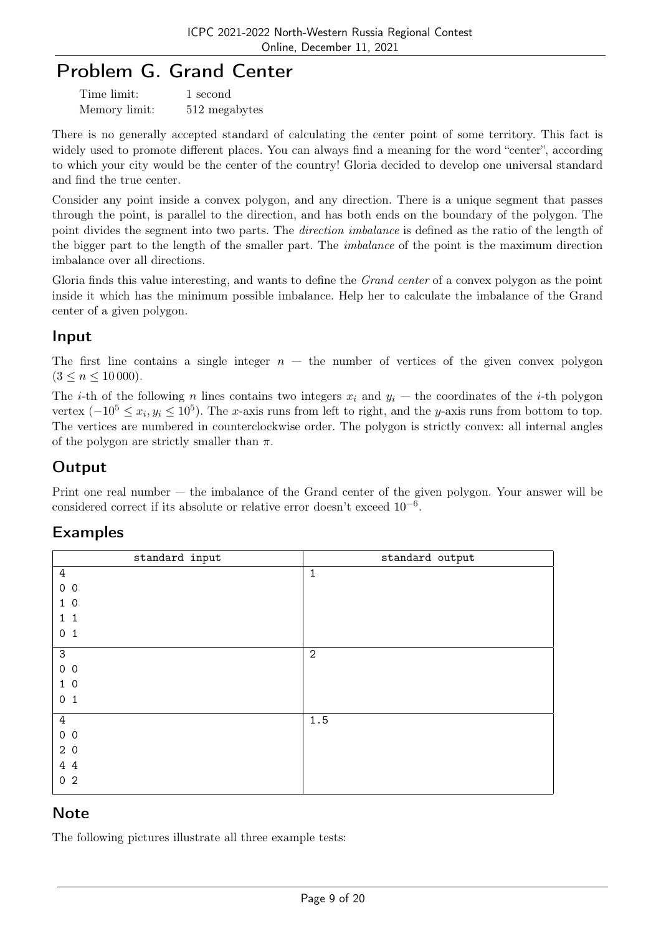## Problem G. Grand Center

| Time limit:   | 1 second      |
|---------------|---------------|
| Memory limit: | 512 megabytes |

There is no generally accepted standard of calculating the center point of some territory. This fact is widely used to promote different places. You can always find a meaning for the word "center", according to which your city would be the center of the country! Gloria decided to develop one universal standard and find the true center.

Consider any point inside a convex polygon, and any direction. There is a unique segment that passes through the point, is parallel to the direction, and has both ends on the boundary of the polygon. The point divides the segment into two parts. The *direction imbalance* is defined as the ratio of the length of the bigger part to the length of the smaller part. The imbalance of the point is the maximum direction imbalance over all directions.

Gloria finds this value interesting, and wants to define the *Grand center* of a convex polygon as the point inside it which has the minimum possible imbalance. Help her to calculate the imbalance of the Grand center of a given polygon.

### Input

The first line contains a single integer  $n -$  the number of vertices of the given convex polygon  $(3 \leq n \leq 10000)$ .

The *i*-th of the following *n* lines contains two integers  $x_i$  and  $y_i$  — the coordinates of the *i*-th polygon vertex  $(-10^5 \le x_i, y_i \le 10^5)$ . The x-axis runs from left to right, and the y-axis runs from bottom to top. The vertices are numbered in counterclockwise order. The polygon is strictly convex: all internal angles of the polygon are strictly smaller than  $\pi$ .

## Output

Print one real number — the imbalance of the Grand center of the given polygon. Your answer will be considered correct if its absolute or relative error doesn't exceed 10−<sup>6</sup> .

## Examples

| standard input    | standard output |
|-------------------|-----------------|
| $\overline{4}$    | $\mathbf 1$     |
| $0\quad 0$        |                 |
| 1 <sub>0</sub>    |                 |
| $\mathbf{1}$<br>1 |                 |
| 0 <sub>1</sub>    |                 |
| $\mathsf{3}$      | $\overline{2}$  |
| 0 <sub>0</sub>    |                 |
| 10                |                 |
| 0 <sub>1</sub>    |                 |
| $\overline{4}$    | 1.5             |
| 0 <sub>0</sub>    |                 |
| 20                |                 |
| 4 4               |                 |
| 0 <sub>2</sub>    |                 |

## **Note**

The following pictures illustrate all three example tests: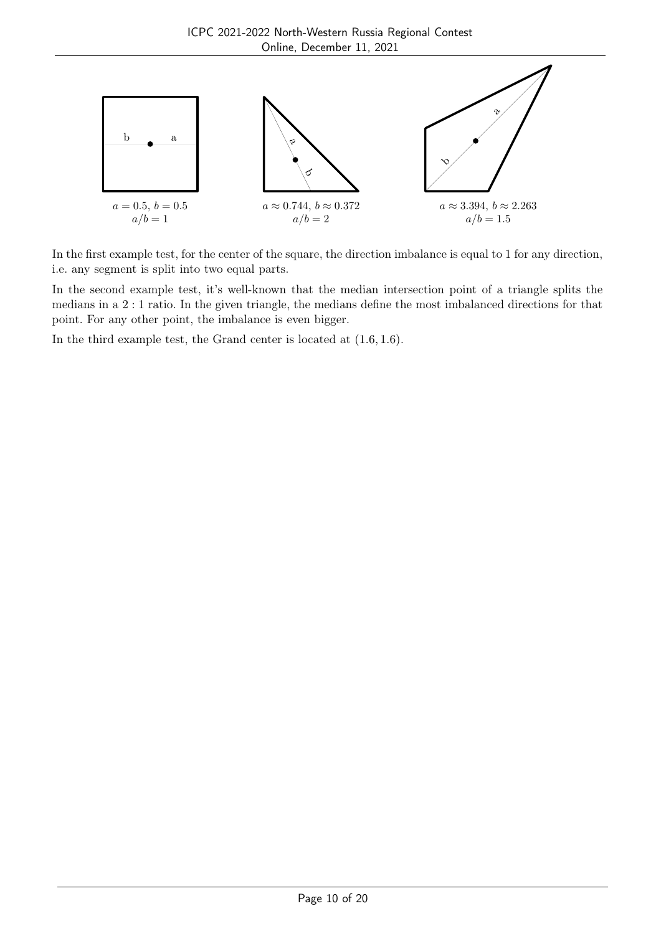

In the first example test, for the center of the square, the direction imbalance is equal to 1 for any direction, i.e. any segment is split into two equal parts.

In the second example test, it's well-known that the median intersection point of a triangle splits the medians in a 2 : 1 ratio. In the given triangle, the medians define the most imbalanced directions for that point. For any other point, the imbalance is even bigger.

In the third example test, the Grand center is located at (1.6, 1.6).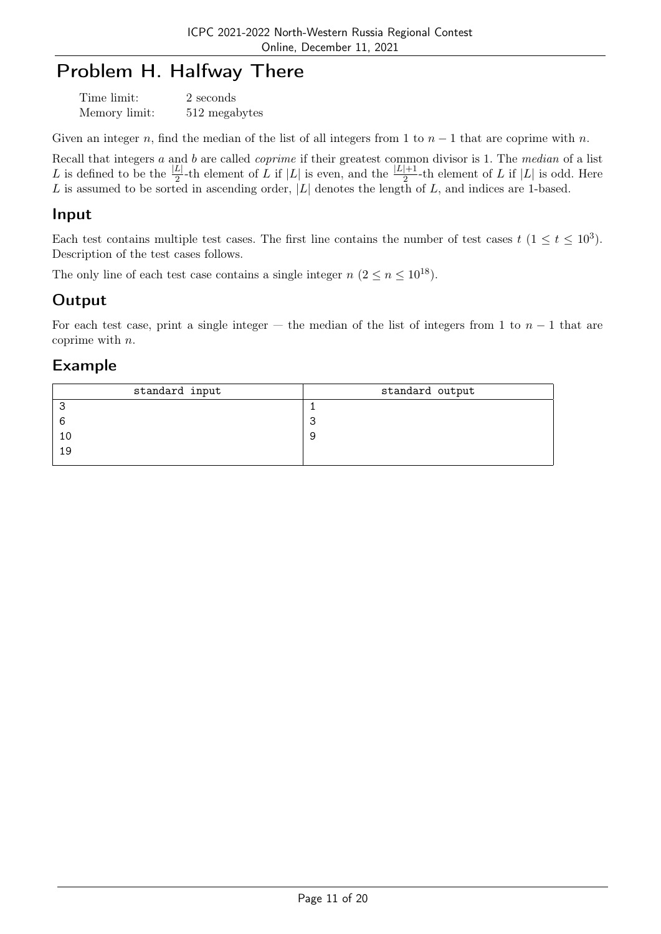## Problem H. Halfway There

| Time limit:   | 2 seconds     |
|---------------|---------------|
| Memory limit: | 512 megabytes |

Given an integer n, find the median of the list of all integers from 1 to  $n-1$  that are coprime with n.

Recall that integers a and b are called coprime if their greatest common divisor is 1. The median of a list L is defined to be the  $\frac{|L|}{2}$ -th element of L if  $|L|$  is even, and the  $\frac{|L|+1}{2}$ -th element of L if  $|L|$  is odd. Here L is assumed to be sorted in ascending order,  $|L|$  denotes the length of L, and indices are 1-based.

#### Input

Each test contains multiple test cases. The first line contains the number of test cases  $t$   $(1 \le t \le 10^3)$ . Description of the test cases follows.

The only line of each test case contains a single integer  $n (2 \le n \le 10^{18})$ .

## **Output**

For each test case, print a single integer — the median of the list of integers from 1 to  $n-1$  that are coprime with n.

#### Example

| standard input | standard output |
|----------------|-----------------|
|                |                 |
| 6              |                 |
| 1 C            |                 |
| 19             |                 |
|                |                 |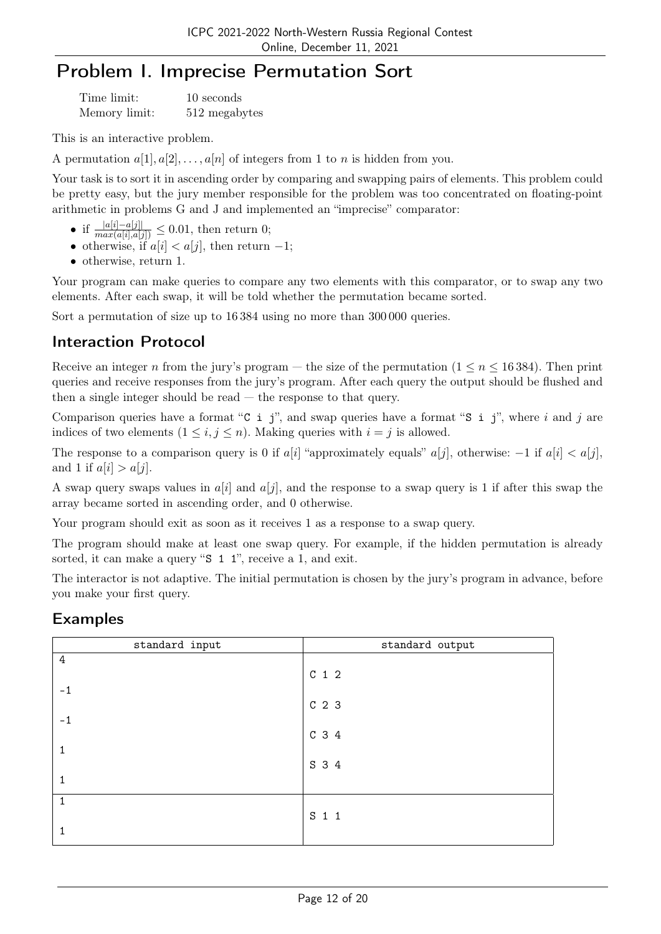# Problem I. Imprecise Permutation Sort

| Time limit:   | 10 seconds    |
|---------------|---------------|
| Memory limit: | 512 megabytes |

This is an interactive problem.

A permutation  $a[1], a[2], \ldots, a[n]$  of integers from 1 to n is hidden from you.

Your task is to sort it in ascending order by comparing and swapping pairs of elements. This problem could be pretty easy, but the jury member responsible for the problem was too concentrated on floating-point arithmetic in problems G and J and implemented an "imprecise" comparator:

- if  $\frac{|a[i]-a[j]|}{max(a[i],a[j])} \leq 0.01$ , then return 0;
- otherwise, if  $a[i] < a[j]$ , then return  $-1$ ;
- otherwise, return 1.

Your program can make queries to compare any two elements with this comparator, or to swap any two elements. After each swap, it will be told whether the permutation became sorted.

Sort a permutation of size up to 16 384 using no more than 300 000 queries.

## Interaction Protocol

Receive an integer n from the jury's program — the size of the permutation  $(1 \le n \le 16384)$ . Then print queries and receive responses from the jury's program. After each query the output should be flushed and then a single integer should be read — the response to that query.

Comparison queries have a format "C i j", and swap queries have a format "S i j", where i and j are indices of two elements  $(1 \leq i, j \leq n)$ . Making queries with  $i = j$  is allowed.

The response to a comparison query is 0 if  $a[i]$  "approximately equals"  $a[j]$ , otherwise:  $-1$  if  $a[i] < a[j]$ , and 1 if  $a[i] > a[j]$ .

A swap query swaps values in  $a[i]$  and  $a[j]$ , and the response to a swap query is 1 if after this swap the array became sorted in ascending order, and 0 otherwise.

Your program should exit as soon as it receives 1 as a response to a swap query.

The program should make at least one swap query. For example, if the hidden permutation is already sorted, it can make a query "S 1 1", receive a 1, and exit.

The interactor is not adaptive. The initial permutation is chosen by the jury's program in advance, before you make your first query.

## Examples

| standard input | standard output  |
|----------------|------------------|
| 4              | $C_1$ 1 2        |
| $-1$           | $C2$ 3           |
| $-1$           | C <sub>3</sub> 4 |
|                | S 3 4            |
| 1              |                  |
| 1              | S 1 1            |
| 1              |                  |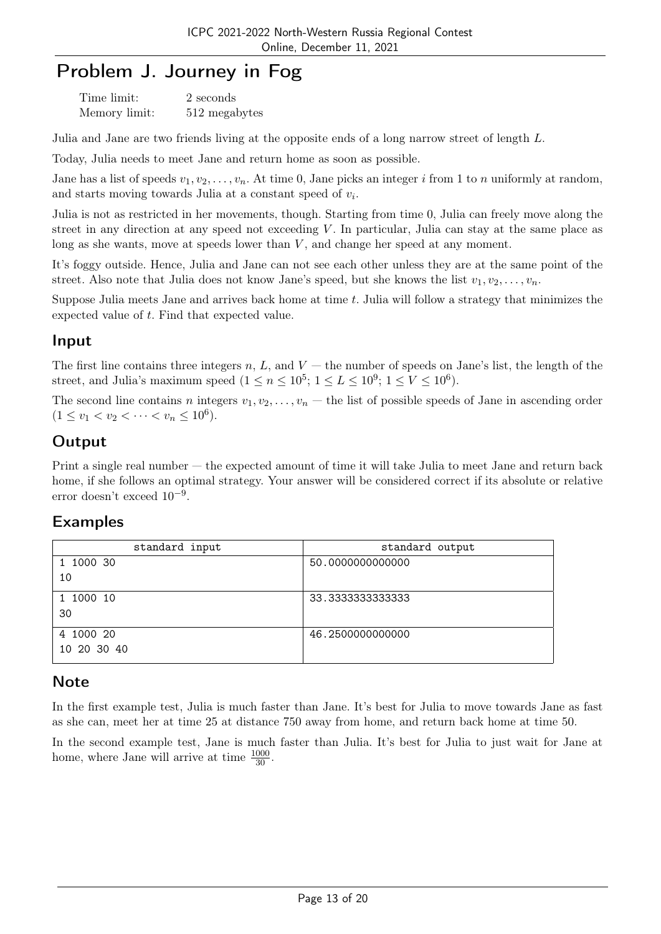## Problem J. Journey in Fog

| Time limit:   | 2 seconds     |
|---------------|---------------|
| Memory limit: | 512 megabytes |

Julia and Jane are two friends living at the opposite ends of a long narrow street of length L.

Today, Julia needs to meet Jane and return home as soon as possible.

Jane has a list of speeds  $v_1, v_2, \ldots, v_n$ . At time 0, Jane picks an integer i from 1 to n uniformly at random, and starts moving towards Julia at a constant speed of  $v_i$ .

Julia is not as restricted in her movements, though. Starting from time 0, Julia can freely move along the street in any direction at any speed not exceeding V . In particular, Julia can stay at the same place as long as she wants, move at speeds lower than V, and change her speed at any moment.

It's foggy outside. Hence, Julia and Jane can not see each other unless they are at the same point of the street. Also note that Julia does not know Jane's speed, but she knows the list  $v_1, v_2, \ldots, v_n$ .

Suppose Julia meets Jane and arrives back home at time t. Julia will follow a strategy that minimizes the expected value of t. Find that expected value.

### Input

The first line contains three integers n, L, and  $V$  — the number of speeds on Jane's list, the length of the street, and Julia's maximum speed  $(1 \le n \le 10^5; 1 \le L \le 10^9; 1 \le V \le 10^6)$ .

The second line contains n integers  $v_1, v_2, \ldots, v_n$  — the list of possible speeds of Jane in ascending order  $(1 \le v_1 < v_2 < \cdots < v_n \le 10^6).$ 

## **Output**

Print a single real number — the expected amount of time it will take Julia to meet Jane and return back home, if she follows an optimal strategy. Your answer will be considered correct if its absolute or relative error doesn't exceed 10−<sup>9</sup> .

## Examples

| standard input | standard output  |
|----------------|------------------|
| 1 1000 30      | 50.0000000000000 |
| 10             |                  |
| 1 1000 10      | 33.3333333333333 |
| 30             |                  |
| 4 1000 20      | 46.2500000000000 |
| 10 20 30 40    |                  |

#### **Note**

In the first example test, Julia is much faster than Jane. It's best for Julia to move towards Jane as fast as she can, meet her at time 25 at distance 750 away from home, and return back home at time 50.

In the second example test, Jane is much faster than Julia. It's best for Julia to just wait for Jane at home, where Jane will arrive at time  $\frac{1000}{30}$ .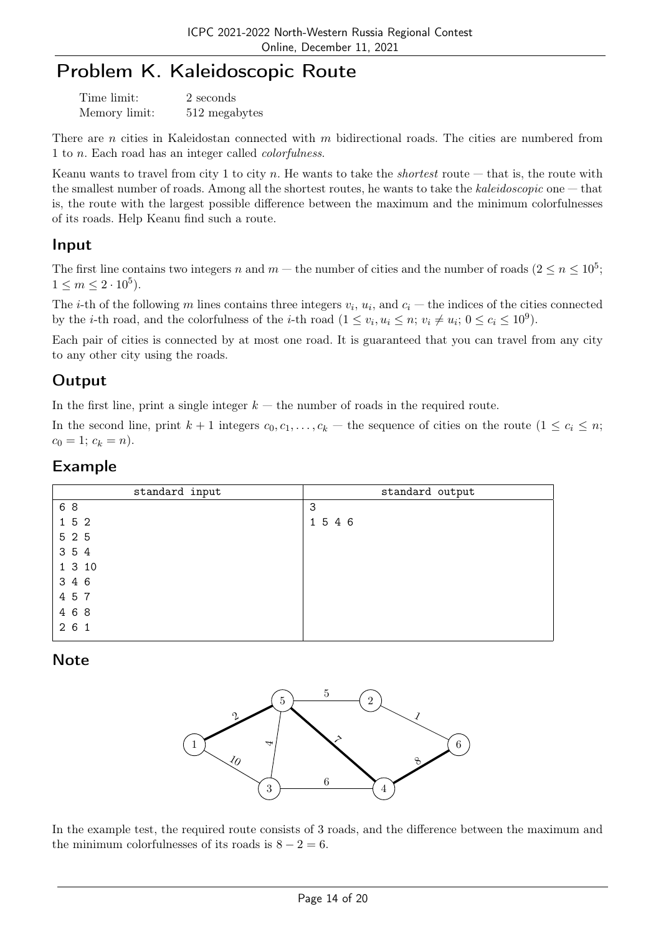## Problem K. Kaleidoscopic Route

| Time limit:   | 2 seconds     |
|---------------|---------------|
| Memory limit: | 512 megabytes |

There are *n* cities in Kaleidostan connected with *m* bidirectional roads. The cities are numbered from 1 to n. Each road has an integer called colorfulness.

Keanu wants to travel from city 1 to city n. He wants to take the *shortest* route — that is, the route with the smallest number of roads. Among all the shortest routes, he wants to take the kaleidoscopic one — that is, the route with the largest possible difference between the maximum and the minimum colorfulnesses of its roads. Help Keanu find such a route.

### Input

The first line contains two integers n and  $m$  – the number of cities and the number of roads  $(2 \le n \le 10^5;$  $1 \le m \le 2 \cdot 10^5$ ).

The *i*-th of the following m lines contains three integers  $v_i$ ,  $u_i$ , and  $c_i$  – the indices of the cities connected by the *i*-th road, and the colorfulness of the *i*-th road  $(1 \le v_i, u_i \le n; v_i \ne u_i; 0 \le c_i \le 10^9)$ .

Each pair of cities is connected by at most one road. It is guaranteed that you can travel from any city to any other city using the roads.

## **Output**

In the first line, print a single integer  $k -$  the number of roads in the required route.

In the second line, print  $k + 1$  integers  $c_0, c_1, \ldots, c_k$  — the sequence of cities on the route  $(1 \le c_i \le n;$  $c_0 = 1; c_k = n$ .

#### Example

| standard input | standard output |
|----------------|-----------------|
| 6 8            | 3               |
| 1 5 2          | 1 5 4 6         |
| 5 2 5          |                 |
| 3 5 4          |                 |
| 1 3 10         |                 |
| 3 4 6          |                 |
| 4 5 7          |                 |
| 4 6 8          |                 |
| 261            |                 |
|                |                 |

## Note



In the example test, the required route consists of 3 roads, and the difference between the maximum and the minimum colorfulnesses of its roads is  $8 - 2 = 6$ .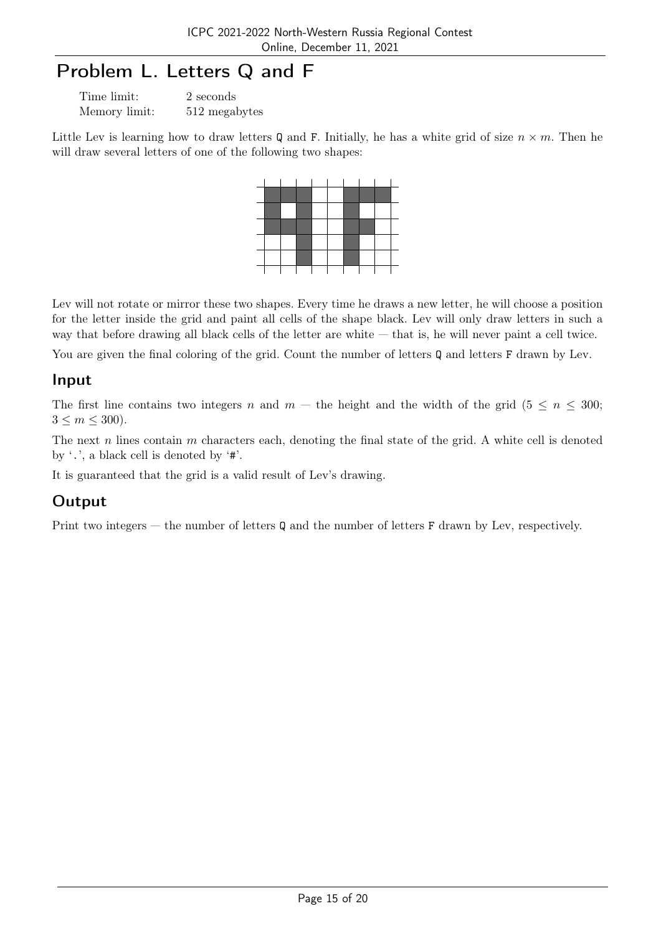# Problem L. Letters Q and F

| Time limit:   | 2 seconds     |
|---------------|---------------|
| Memory limit: | 512 megabytes |

Little Lev is learning how to draw letters Q and F. Initially, he has a white grid of size  $n \times m$ . Then he will draw several letters of one of the following two shapes:

Lev will not rotate or mirror these two shapes. Every time he draws a new letter, he will choose a position for the letter inside the grid and paint all cells of the shape black. Lev will only draw letters in such a way that before drawing all black cells of the letter are white — that is, he will never paint a cell twice.

You are given the final coloring of the grid. Count the number of letters Q and letters F drawn by Lev.

#### Input

The first line contains two integers n and  $m$  – the height and the width of the grid (5  $\leq n \leq 300$ ;  $3 \le m \le 300$ .

The next  $n$  lines contain  $m$  characters each, denoting the final state of the grid. A white cell is denoted by '.', a black cell is denoted by '#'.

It is guaranteed that the grid is a valid result of Lev's drawing.

## **Output**

Print two integers — the number of letters Q and the number of letters F drawn by Lev, respectively.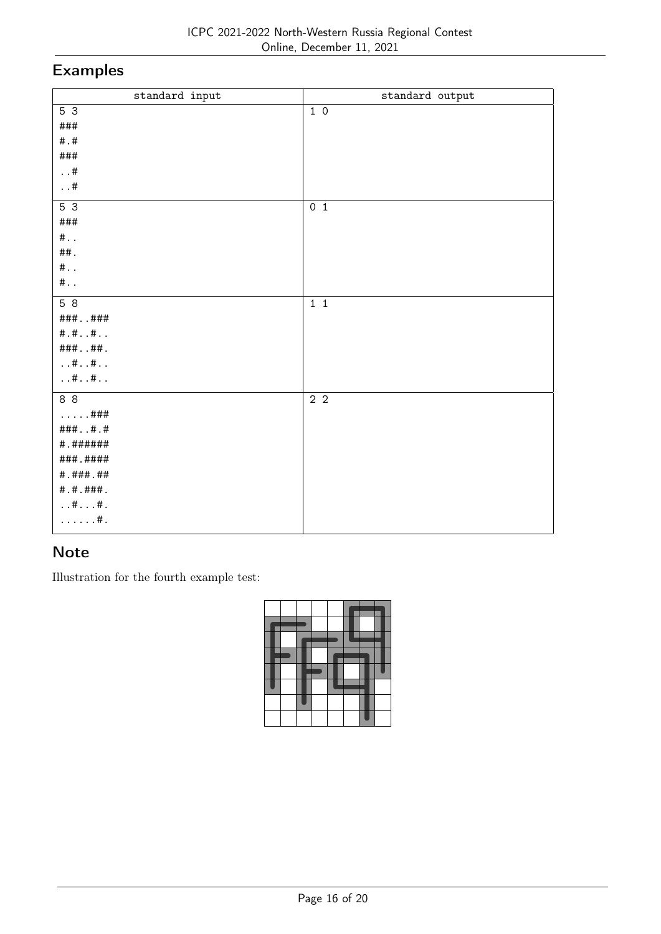# Examples

| standard input              | standard output |
|-----------------------------|-----------------|
| $5\overline{3}$             | 10              |
| ###                         |                 |
| $\#$ . $\#$                 |                 |
| $\# \# \#$                  |                 |
| $\dots$ #                   |                 |
| . . $\#$                    |                 |
| $5\overline{3}$             | 0 <sub>1</sub>  |
| ###                         |                 |
| $\#$                        |                 |
| ##.                         |                 |
| #                           |                 |
| #                           |                 |
| 58                          | $1\quad1$       |
| $\# \# \#$ ###              |                 |
| # . # #                     |                 |
| #####.                      |                 |
| $\dots$ # $\dots$ # $\dots$ |                 |
| $\dots$ # $\dots$ # $\dots$ |                 |
| 88                          | 2 <sub>2</sub>  |
| ###                         |                 |
| ####.#                      |                 |
| # . # # # # # #             |                 |
| ###.####                    |                 |
| # . # # # . # #             |                 |
| # . # . # # # .             |                 |
| $\dots$ # $\dots$ #.        |                 |
| $\ldots \ldots$ #.          |                 |
|                             |                 |

## Note

Illustration for the fourth example test: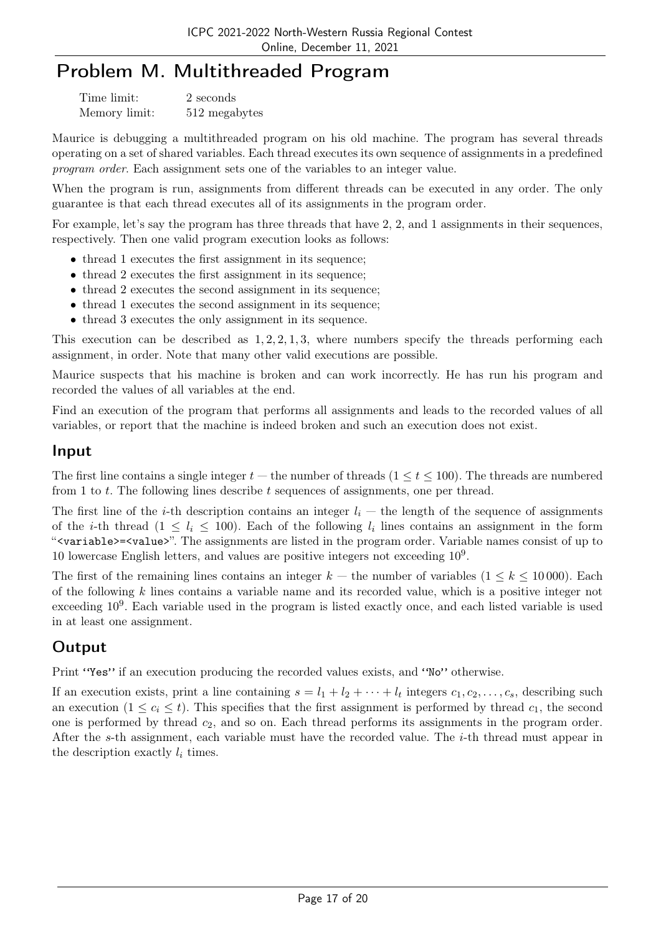## Problem M. Multithreaded Program

| Time limit:   | 2 seconds     |
|---------------|---------------|
| Memory limit: | 512 megabytes |

Maurice is debugging a multithreaded program on his old machine. The program has several threads operating on a set of shared variables. Each thread executes its own sequence of assignments in a predefined program order. Each assignment sets one of the variables to an integer value.

When the program is run, assignments from different threads can be executed in any order. The only guarantee is that each thread executes all of its assignments in the program order.

For example, let's say the program has three threads that have 2, 2, and 1 assignments in their sequences, respectively. Then one valid program execution looks as follows:

- thread 1 executes the first assignment in its sequence;
- thread 2 executes the first assignment in its sequence;
- thread 2 executes the second assignment in its sequence;
- thread 1 executes the second assignment in its sequence;
- thread 3 executes the only assignment in its sequence.

This execution can be described as  $1, 2, 2, 1, 3$ , where numbers specify the threads performing each assignment, in order. Note that many other valid executions are possible.

Maurice suspects that his machine is broken and can work incorrectly. He has run his program and recorded the values of all variables at the end.

Find an execution of the program that performs all assignments and leads to the recorded values of all variables, or report that the machine is indeed broken and such an execution does not exist.

#### Input

The first line contains a single integer  $t$  — the number of threads  $(1 \le t \le 100)$ . The threads are numbered from 1 to t. The following lines describe t sequences of assignments, one per thread.

The first line of the *i*-th description contains an integer  $l_i$  — the length of the sequence of assignments of the *i*-th thread  $(1 \leq l_i \leq 100)$ . Each of the following  $l_i$  lines contains an assignment in the form "<variable>=<value>". The assignments are listed in the program order. Variable names consist of up to 10 lowercase English letters, and values are positive integers not exceeding  $10<sup>9</sup>$ .

The first of the remaining lines contains an integer  $k$  — the number of variables  $(1 \leq k \leq 10000)$ . Each of the following k lines contains a variable name and its recorded value, which is a positive integer not exceeding  $10^9$ . Each variable used in the program is listed exactly once, and each listed variable is used in at least one assignment.

## **Output**

Print "Yes" if an execution producing the recorded values exists, and "No" otherwise.

If an execution exists, print a line containing  $s = l_1 + l_2 + \cdots + l_t$  integers  $c_1, c_2, \ldots, c_s$ , describing such an execution  $(1 \leq c_i \leq t)$ . This specifies that the first assignment is performed by thread  $c_1$ , the second one is performed by thread  $c_2$ , and so on. Each thread performs its assignments in the program order. After the s-th assignment, each variable must have the recorded value. The i-th thread must appear in the description exactly  $l_i$  times.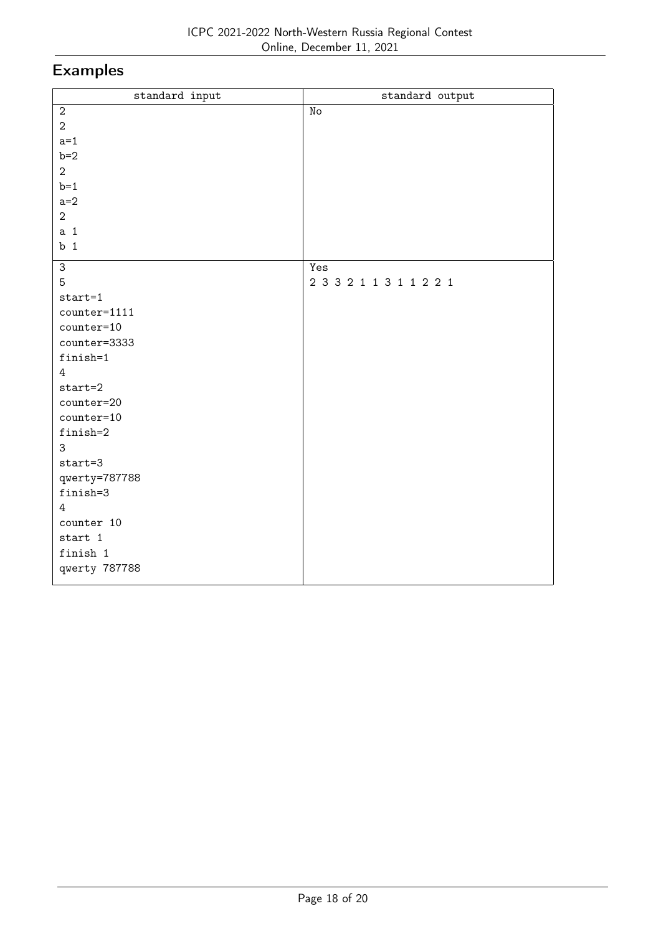# Examples

| $\texttt{standard}$ input | standard output         |  |
|---------------------------|-------------------------|--|
| $\sqrt{2}$                | $\rm\thinspace No$      |  |
| $\overline{2}$            |                         |  |
| $a=1$                     |                         |  |
| $b=2$                     |                         |  |
| $\overline{2}$            |                         |  |
| $b=1$                     |                         |  |
| $a=2$                     |                         |  |
| $\overline{2}$            |                         |  |
| a <sub>1</sub>            |                         |  |
| b <sub>1</sub>            |                         |  |
| 3                         | Yes                     |  |
| 5                         | 2 3 3 2 1 1 3 1 1 2 2 1 |  |
| $start=1$                 |                         |  |
| counter=1111              |                         |  |
| $counter=10$              |                         |  |
| counter=3333              |                         |  |
| finish=1                  |                         |  |
| $\overline{4}$            |                         |  |
| $start=2$                 |                         |  |
| counter=20                |                         |  |
| counter=10                |                         |  |
| finish=2                  |                         |  |
| 3                         |                         |  |
| $start=3$                 |                         |  |
| qwerty=787788             |                         |  |
| finish=3                  |                         |  |
| 4                         |                         |  |
| counter 10                |                         |  |
| start 1                   |                         |  |
| finish 1                  |                         |  |
| qwerty 787788             |                         |  |
|                           |                         |  |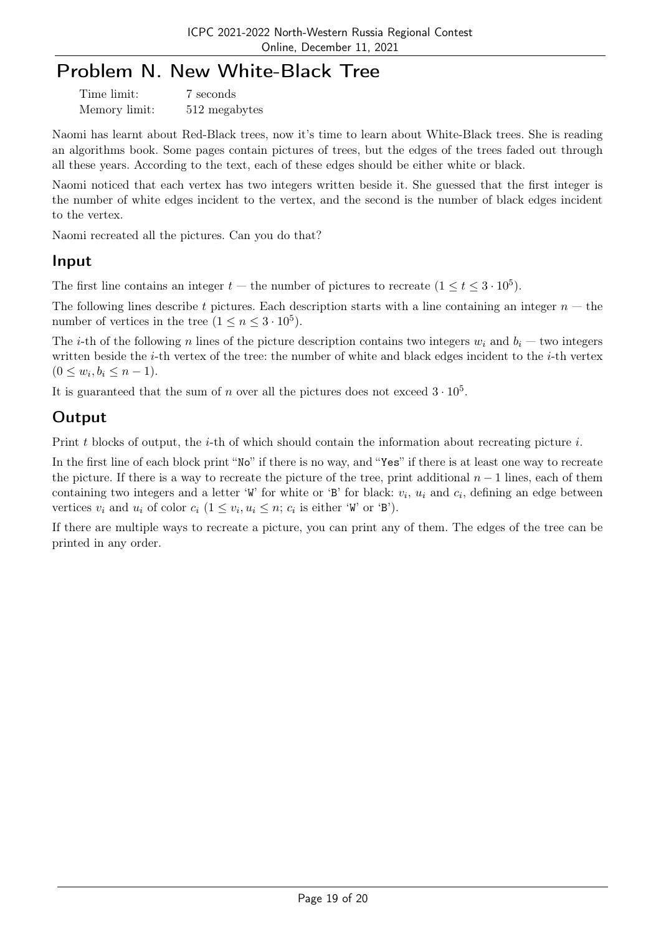## Problem N. New White-Black Tree

| Time limit:   | 7 seconds     |  |
|---------------|---------------|--|
| Memory limit: | 512 megabytes |  |

Naomi has learnt about Red-Black trees, now it's time to learn about White-Black trees. She is reading an algorithms book. Some pages contain pictures of trees, but the edges of the trees faded out through all these years. According to the text, each of these edges should be either white or black.

Naomi noticed that each vertex has two integers written beside it. She guessed that the first integer is the number of white edges incident to the vertex, and the second is the number of black edges incident to the vertex.

Naomi recreated all the pictures. Can you do that?

### Input

The first line contains an integer  $t$  – the number of pictures to recreate  $(1 \le t \le 3 \cdot 10^5)$ .

The following lines describe t pictures. Each description starts with a line containing an integer  $n -$  the number of vertices in the tree  $(1 \le n \le 3 \cdot 10^5)$ .

The *i*-th of the following n lines of the picture description contains two integers  $w_i$  and  $b_i$  — two integers written beside the  $i$ -th vertex of the tree: the number of white and black edges incident to the  $i$ -th vertex  $(0 \le w_i, b_i \le n - 1).$ 

It is guaranteed that the sum of n over all the pictures does not exceed  $3 \cdot 10^5$ .

## **Output**

Print t blocks of output, the i-th of which should contain the information about recreating picture i.

In the first line of each block print "No" if there is no way, and "Yes" if there is at least one way to recreate the picture. If there is a way to recreate the picture of the tree, print additional  $n-1$  lines, each of them containing two integers and a letter 'W' for white or 'B' for black:  $v_i$ ,  $u_i$  and  $c_i$ , defining an edge between vertices  $v_i$  and  $u_i$  of color  $c_i$   $(1 \le v_i, u_i \le n; c_i$  is either 'W' or 'B').

If there are multiple ways to recreate a picture, you can print any of them. The edges of the tree can be printed in any order.